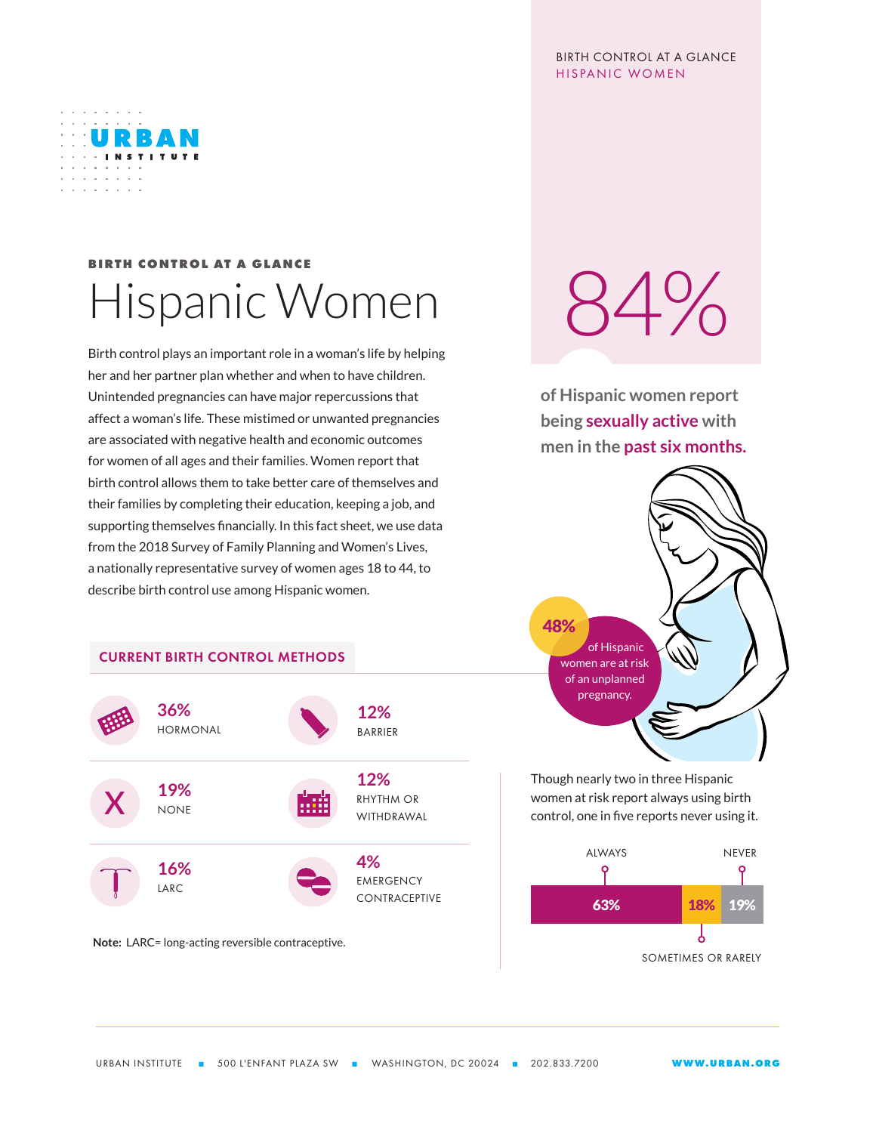## BIRTH CONTROL AT A GLANCE HISPANIC WOMEN



## **BIRTH CONTROL AT A GLANCE** Hispanic Women

Birth control plays an important role in a woman's life by helping her and her partner plan whether and when to have children. Unintended pregnancies can have major repercussions that affect a woman's life. These mistimed or unwanted pregnancies are associated with negative health and economic outcomes for women of all ages and their families. Women report that birth control allows them to take better care of themselves and their families by completing their education, keeping a job, and supporting themselves financially. In this fact sheet, we use data from the 2018 Survey of Family Planning and Women's Lives, a nationally representative survey of women ages 18 to 44, to describe birth control use among Hispanic women.

## CURRENT BIRTH CONTROL METHODS



**Note:** LARC= long-acting reversible contraceptive.

 $34\%$ 

**of Hispanic women report being sexually active with men in the past six months.**



Though nearly two in three Hispanic women at risk report always using birth control, one in five reports never using it.